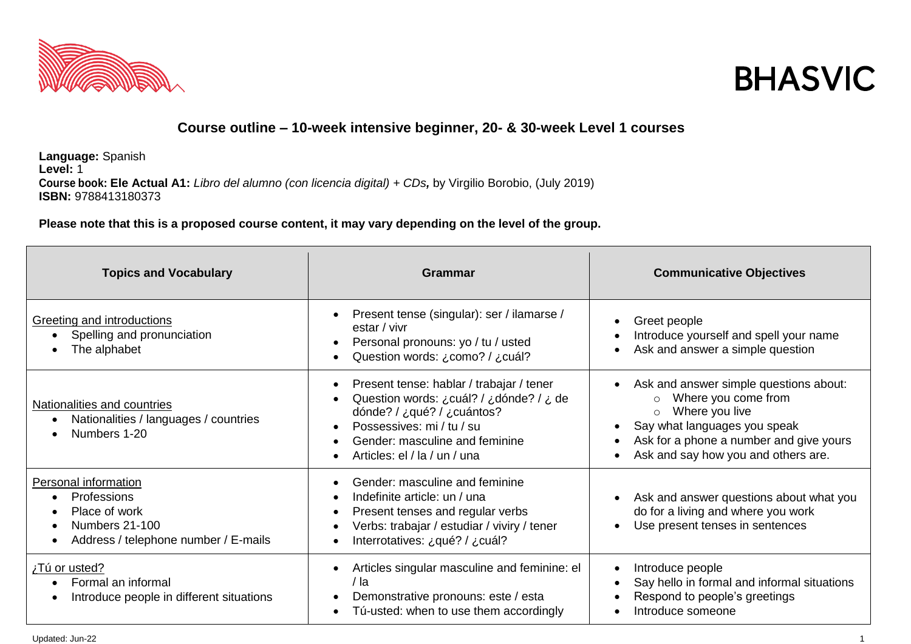



## **Course outline – 10-week intensive beginner, 20- & 30-week Level 1 courses**

**Language:** Spanish **Level:** 1 **Course book: Ele Actual A1:** *Libro del alumno (con licencia digital) + CDs,* by [Virgilio Borobio, \(July 2019\)](http://www.amazon.co.uk/s/ref=dp_byline_sr_book_1?ie=UTF8&field-author=Virgilio+Borobio+Carrera&search-alias=books-uk&text=Virgilio+Borobio+Carrera&sort=relevancerank)  **ISBN:** 9788413180373

**Please note that this is a proposed course content, it may vary depending on the level of the group.**

| <b>Topics and Vocabulary</b>                                                                                          | <b>Grammar</b>                                                                                                                                                                                                                             | <b>Communicative Objectives</b>                                                                                                                                                                              |
|-----------------------------------------------------------------------------------------------------------------------|--------------------------------------------------------------------------------------------------------------------------------------------------------------------------------------------------------------------------------------------|--------------------------------------------------------------------------------------------------------------------------------------------------------------------------------------------------------------|
| Greeting and introductions<br>Spelling and pronunciation<br>The alphabet                                              | Present tense (singular): ser / ilamarse /<br>estar / vivr<br>Personal pronouns: yo / tu / usted<br>$\bullet$<br>Question words: ¿como? / ¿cuál?                                                                                           | Greet people<br>Introduce yourself and spell your name<br>Ask and answer a simple question                                                                                                                   |
| Nationalities and countries<br>Nationalities / languages / countries<br>Numbers 1-20                                  | Present tense: hablar / trabajar / tener<br>$\bullet$<br>Question words: ¿cuál? / ¿dónde? / ¿ de<br>dónde? / ¿qué? / ¿cuántos?<br>Possessives: mi / tu / su<br>Gender: masculine and feminine<br>$\bullet$<br>Articles: el / la / un / una | Ask and answer simple questions about:<br>Where you come from<br>$\circ$<br>Where you live<br>Say what languages you speak<br>Ask for a phone a number and give yours<br>Ask and say how you and others are. |
| Personal information<br>Professions<br>Place of work<br><b>Numbers 21-100</b><br>Address / telephone number / E-mails | Gender: masculine and feminine<br>Indefinite article: un / una<br>$\bullet$<br>Present tenses and regular verbs<br>$\bullet$<br>Verbs: trabajar / estudiar / viviry / tener<br>Interrotatives: ¿qué? / ¿cuál?                              | Ask and answer questions about what you<br>do for a living and where you work<br>Use present tenses in sentences                                                                                             |
| Tú or usted?<br>Formal an informal<br>Introduce people in different situations                                        | Articles singular masculine and feminine: el<br>/ la<br>Demonstrative pronouns: este / esta<br>Tú-usted: when to use them accordingly                                                                                                      | Introduce people<br>Say hello in formal and informal situations<br>Respond to people's greetings<br>Introduce someone                                                                                        |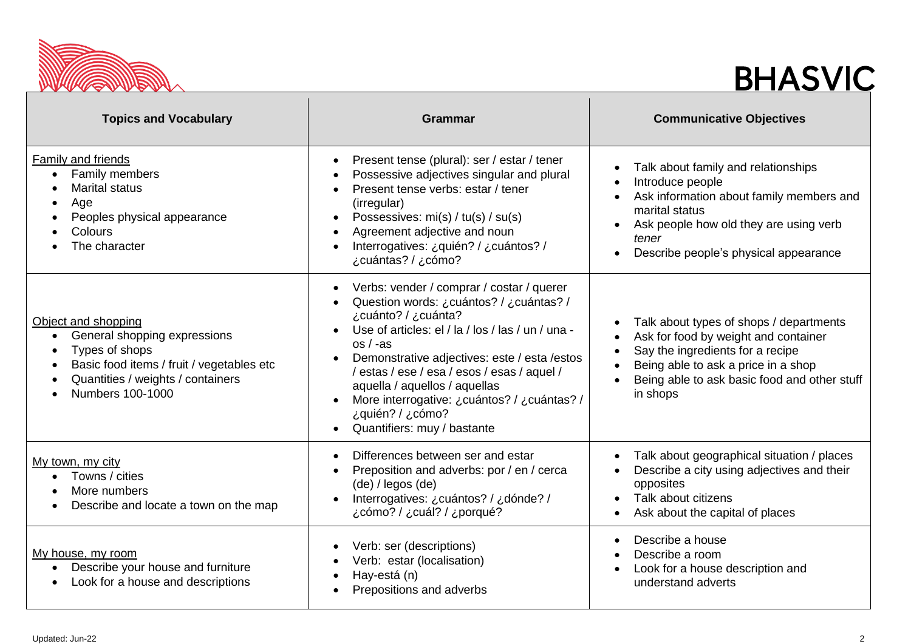

## **BHASVIC**

| <b>Topics and Vocabulary</b>                                                                                                                                                | <b>Grammar</b>                                                                                                                                                                                                                                                                                                                                                                                                                 | <b>Communicative Objectives</b>                                                                                                                                                                                        |
|-----------------------------------------------------------------------------------------------------------------------------------------------------------------------------|--------------------------------------------------------------------------------------------------------------------------------------------------------------------------------------------------------------------------------------------------------------------------------------------------------------------------------------------------------------------------------------------------------------------------------|------------------------------------------------------------------------------------------------------------------------------------------------------------------------------------------------------------------------|
| <b>Family and friends</b><br>Family members<br>$\bullet$<br><b>Marital status</b><br>Age<br>Peoples physical appearance<br>Colours<br>The character                         | Present tense (plural): ser / estar / tener<br>$\bullet$<br>Possessive adjectives singular and plural<br>Present tense verbs: estar / tener<br>(irregular)<br>Possessives: mi(s) / tu(s) / su(s)<br>Agreement adjective and noun<br>Interrogatives: ¿quién? / ¿cuántos? /<br>¿cuántas? / ¿cómo?                                                                                                                                | Talk about family and relationships<br>Introduce people<br>Ask information about family members and<br>marital status<br>Ask people how old they are using verb<br>tener<br>Describe people's physical appearance      |
| Object and shopping<br>General shopping expressions<br>Types of shops<br>Basic food items / fruit / vegetables etc<br>Quantities / weights / containers<br>Numbers 100-1000 | Verbs: vender / comprar / costar / querer<br>$\bullet$<br>Question words: ¿cuántos? / ¿cuántas? /<br>¿cuánto? / ¿cuánta?<br>Use of articles: el / la / los / las / un / una -<br>$os / -as$<br>Demonstrative adjectives: este / esta / estos<br>/ estas / ese / esa / esos / esas / aquel /<br>aquella / aquellos / aquellas<br>More interrogative: ¿cuántos? / ¿cuántas? /<br>¿quién? / ¿cómo?<br>Quantifiers: muy / bastante | Talk about types of shops / departments<br>Ask for food by weight and container<br>Say the ingredients for a recipe<br>Being able to ask a price in a shop<br>Being able to ask basic food and other stuff<br>in shops |
| My town, my city<br>Towns / cities<br>More numbers<br>Describe and locate a town on the map                                                                                 | Differences between ser and estar<br>$\bullet$<br>Preposition and adverbs: por / en / cerca<br>(de) / legos (de)<br>Interrogatives: ¿cuántos? / ¿dónde? /<br>¿porqué? / ¿cuál? / ¿porqué                                                                                                                                                                                                                                       | Talk about geographical situation / places<br>Describe a city using adjectives and their<br>opposites<br>Talk about citizens<br>Ask about the capital of places                                                        |
| My house, my room<br>Describe your house and furniture<br>Look for a house and descriptions                                                                                 | Verb: ser (descriptions)<br>Verb: estar (localisation)<br>Hay-está (n)<br>Prepositions and adverbs                                                                                                                                                                                                                                                                                                                             | Describe a house<br>Describe a room<br>Look for a house description and<br>understand adverts                                                                                                                          |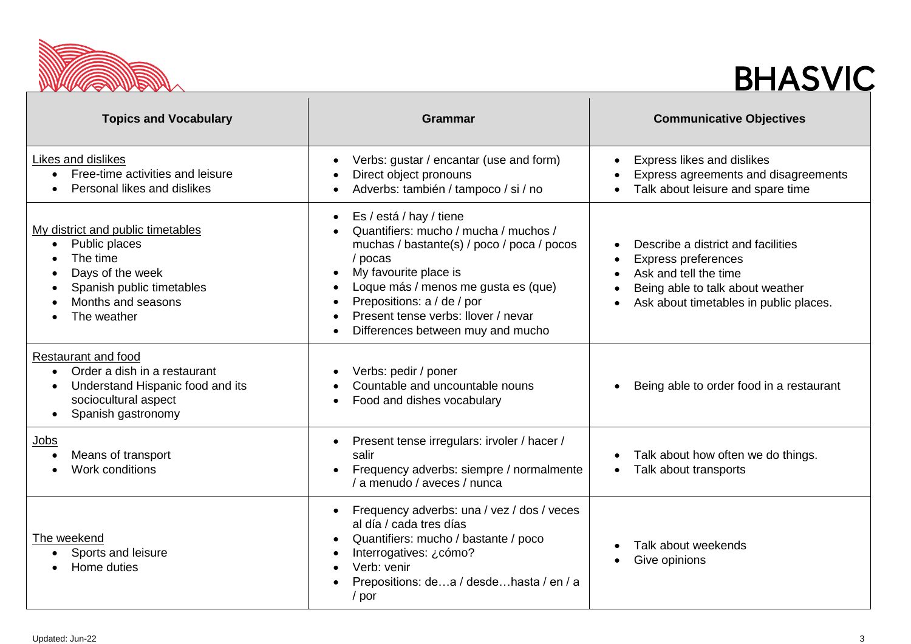

## **BHASVIC**

| <b>Topics and Vocabulary</b>                                                                                                                                      | <b>Grammar</b>                                                                                                                                                                                                                                                                                                                                          | <b>Communicative Objectives</b>                                                                                                                                         |
|-------------------------------------------------------------------------------------------------------------------------------------------------------------------|---------------------------------------------------------------------------------------------------------------------------------------------------------------------------------------------------------------------------------------------------------------------------------------------------------------------------------------------------------|-------------------------------------------------------------------------------------------------------------------------------------------------------------------------|
| Likes and dislikes<br>Free-time activities and leisure<br>Personal likes and dislikes                                                                             | Verbs: gustar / encantar (use and form)<br>$\bullet$<br>Direct object pronouns<br>Adverbs: también / tampoco / si / no                                                                                                                                                                                                                                  | Express likes and dislikes<br>Express agreements and disagreements<br>Talk about leisure and spare time                                                                 |
| My district and public timetables<br>Public places<br>$\bullet$<br>The time<br>Days of the week<br>Spanish public timetables<br>Months and seasons<br>The weather | Es / está / hay / tiene<br>$\bullet$<br>Quantifiers: mucho / mucha / muchos /<br>muchas / bastante(s) / poco / poca / pocos<br>/ pocas<br>My favourite place is<br>$\bullet$<br>Loque más / menos me gusta es (que)<br>Prepositions: a / de / por<br>$\bullet$<br>Present tense verbs: llover / nevar<br>Differences between muy and mucho<br>$\bullet$ | Describe a district and facilities<br><b>Express preferences</b><br>Ask and tell the time<br>Being able to talk about weather<br>Ask about timetables in public places. |
| Restaurant and food<br>Order a dish in a restaurant<br>$\bullet$<br>Understand Hispanic food and its<br>sociocultural aspect<br>Spanish gastronomy                | Verbs: pedir / poner<br>$\bullet$<br>Countable and uncountable nouns<br>Food and dishes vocabulary<br>$\bullet$                                                                                                                                                                                                                                         | Being able to order food in a restaurant                                                                                                                                |
| <u>Jobs</u><br>Means of transport<br>Work conditions                                                                                                              | Present tense irregulars: irvoler / hacer /<br>$\bullet$<br>salir<br>Frequency adverbs: siempre / normalmente<br>/ a menudo / aveces / nunca                                                                                                                                                                                                            | Talk about how often we do things.<br>Talk about transports<br>٠                                                                                                        |
| The weekend<br>Sports and leisure<br>Home duties                                                                                                                  | Frequency adverbs: una / vez / dos / veces<br>$\bullet$<br>al día / cada tres días<br>Quantifiers: mucho / bastante / poco<br>$\bullet$<br>Interrogatives: ¿cómo?<br>Verb: venir<br>Prepositions: dea / desdehasta / en / a<br>/ por                                                                                                                    | Talk about weekends<br>Give opinions                                                                                                                                    |